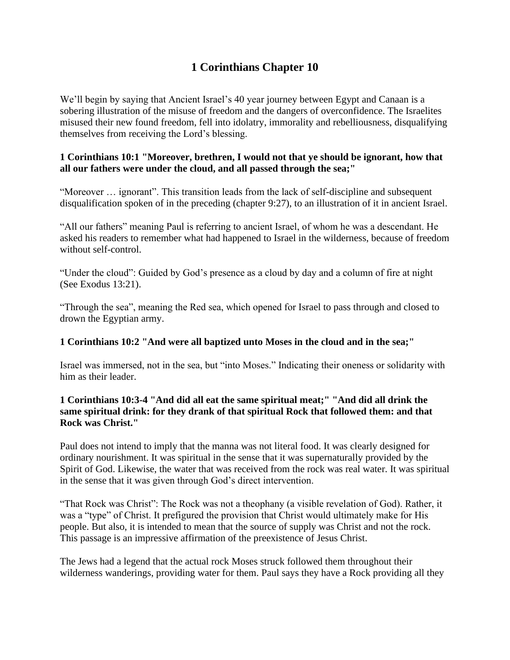# **1 Corinthians Chapter 10**

We'll begin by saying that Ancient Israel's 40 year journey between Egypt and Canaan is a sobering illustration of the misuse of freedom and the dangers of overconfidence. The Israelites misused their new found freedom, fell into idolatry, immorality and rebelliousness, disqualifying themselves from receiving the Lord's blessing.

#### **1 Corinthians 10:1 "Moreover, brethren, I would not that ye should be ignorant, how that all our fathers were under the cloud, and all passed through the sea;"**

"Moreover … ignorant". This transition leads from the lack of self-discipline and subsequent disqualification spoken of in the preceding (chapter 9:27), to an illustration of it in ancient Israel.

"All our fathers" meaning Paul is referring to ancient Israel, of whom he was a descendant. He asked his readers to remember what had happened to Israel in the wilderness, because of freedom without self-control.

"Under the cloud": Guided by God's presence as a cloud by day and a column of fire at night (See Exodus 13:21).

"Through the sea", meaning the Red sea, which opened for Israel to pass through and closed to drown the Egyptian army.

## **1 Corinthians 10:2 "And were all baptized unto Moses in the cloud and in the sea;"**

Israel was immersed, not in the sea, but "into Moses." Indicating their oneness or solidarity with him as their leader.

## **1 Corinthians 10:3-4 "And did all eat the same spiritual meat;" "And did all drink the same spiritual drink: for they drank of that spiritual Rock that followed them: and that Rock was Christ."**

Paul does not intend to imply that the manna was not literal food. It was clearly designed for ordinary nourishment. It was spiritual in the sense that it was supernaturally provided by the Spirit of God. Likewise, the water that was received from the rock was real water. It was spiritual in the sense that it was given through God's direct intervention.

"That Rock was Christ": The Rock was not a theophany (a visible revelation of God). Rather, it was a "type" of Christ. It prefigured the provision that Christ would ultimately make for His people. But also, it is intended to mean that the source of supply was Christ and not the rock. This passage is an impressive affirmation of the preexistence of Jesus Christ.

The Jews had a legend that the actual rock Moses struck followed them throughout their wilderness wanderings, providing water for them. Paul says they have a Rock providing all they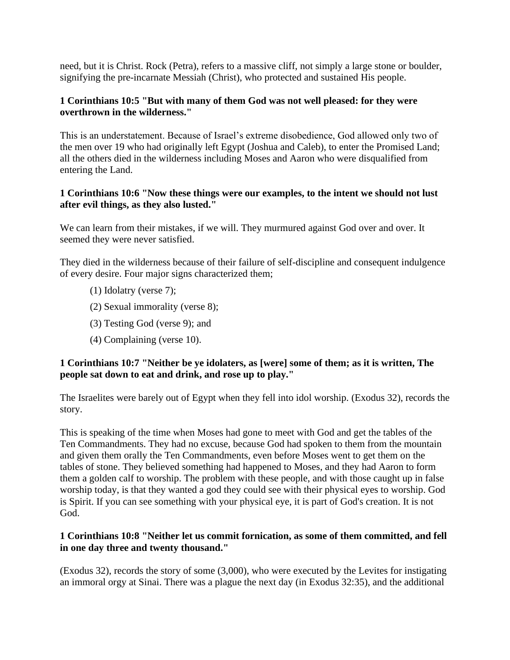need, but it is Christ. Rock (Petra), refers to a massive cliff, not simply a large stone or boulder, signifying the pre-incarnate Messiah (Christ), who protected and sustained His people.

#### **1 Corinthians 10:5 "But with many of them God was not well pleased: for they were overthrown in the wilderness."**

This is an understatement. Because of Israel's extreme disobedience, God allowed only two of the men over 19 who had originally left Egypt (Joshua and Caleb), to enter the Promised Land; all the others died in the wilderness including Moses and Aaron who were disqualified from entering the Land.

#### **1 Corinthians 10:6 "Now these things were our examples, to the intent we should not lust after evil things, as they also lusted."**

We can learn from their mistakes, if we will. They murmured against God over and over. It seemed they were never satisfied.

They died in the wilderness because of their failure of self-discipline and consequent indulgence of every desire. Four major signs characterized them;

- (1) Idolatry (verse 7);
- (2) Sexual immorality (verse 8);
- (3) Testing God (verse 9); and
- (4) Complaining (verse 10).

## **1 Corinthians 10:7 "Neither be ye idolaters, as [were] some of them; as it is written, The people sat down to eat and drink, and rose up to play."**

The Israelites were barely out of Egypt when they fell into idol worship. (Exodus 32), records the story.

This is speaking of the time when Moses had gone to meet with God and get the tables of the Ten Commandments. They had no excuse, because God had spoken to them from the mountain and given them orally the Ten Commandments, even before Moses went to get them on the tables of stone. They believed something had happened to Moses, and they had Aaron to form them a golden calf to worship. The problem with these people, and with those caught up in false worship today, is that they wanted a god they could see with their physical eyes to worship. God is Spirit. If you can see something with your physical eye, it is part of God's creation. It is not God.

#### **1 Corinthians 10:8 "Neither let us commit fornication, as some of them committed, and fell in one day three and twenty thousand."**

(Exodus 32), records the story of some (3,000), who were executed by the Levites for instigating an immoral orgy at Sinai. There was a plague the next day (in Exodus 32:35), and the additional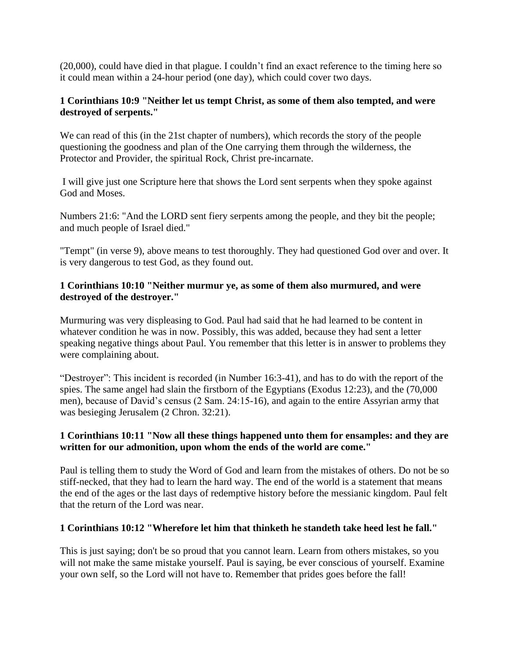(20,000), could have died in that plague. I couldn't find an exact reference to the timing here so it could mean within a 24-hour period (one day), which could cover two days.

#### **1 Corinthians 10:9 "Neither let us tempt Christ, as some of them also tempted, and were destroyed of serpents."**

We can read of this (in the 21st chapter of numbers), which records the story of the people questioning the goodness and plan of the One carrying them through the wilderness, the Protector and Provider, the spiritual Rock, Christ pre-incarnate.

I will give just one Scripture here that shows the Lord sent serpents when they spoke against God and Moses.

Numbers 21:6: "And the LORD sent fiery serpents among the people, and they bit the people; and much people of Israel died."

"Tempt" (in verse 9), above means to test thoroughly. They had questioned God over and over. It is very dangerous to test God, as they found out.

## **1 Corinthians 10:10 "Neither murmur ye, as some of them also murmured, and were destroyed of the destroyer."**

Murmuring was very displeasing to God. Paul had said that he had learned to be content in whatever condition he was in now. Possibly, this was added, because they had sent a letter speaking negative things about Paul. You remember that this letter is in answer to problems they were complaining about.

"Destroyer": This incident is recorded (in Number 16:3-41), and has to do with the report of the spies. The same angel had slain the firstborn of the Egyptians (Exodus 12:23), and the (70,000 men), because of David's census (2 Sam. 24:15-16), and again to the entire Assyrian army that was besieging Jerusalem (2 Chron. 32:21).

## **1 Corinthians 10:11 "Now all these things happened unto them for ensamples: and they are written for our admonition, upon whom the ends of the world are come."**

Paul is telling them to study the Word of God and learn from the mistakes of others. Do not be so stiff-necked, that they had to learn the hard way. The end of the world is a statement that means the end of the ages or the last days of redemptive history before the messianic kingdom. Paul felt that the return of the Lord was near.

## **1 Corinthians 10:12 "Wherefore let him that thinketh he standeth take heed lest he fall."**

This is just saying; don't be so proud that you cannot learn. Learn from others mistakes, so you will not make the same mistake yourself. Paul is saying, be ever conscious of yourself. Examine your own self, so the Lord will not have to. Remember that prides goes before the fall!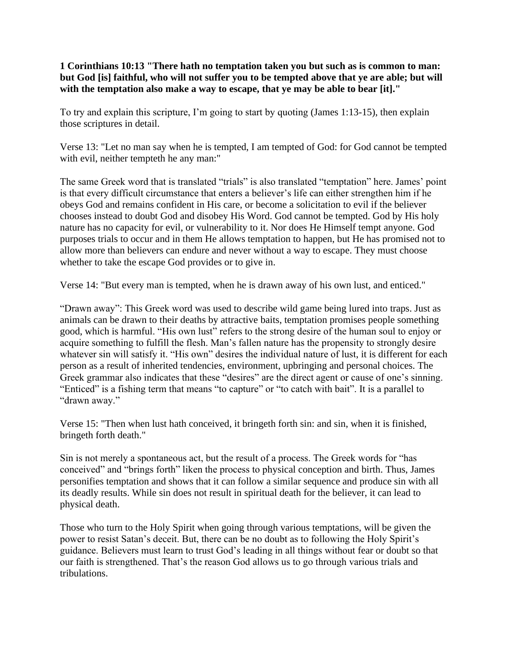**1 Corinthians 10:13 "There hath no temptation taken you but such as is common to man: but God [is] faithful, who will not suffer you to be tempted above that ye are able; but will with the temptation also make a way to escape, that ye may be able to bear [it]."** 

To try and explain this scripture, I'm going to start by quoting (James 1:13-15), then explain those scriptures in detail.

Verse 13: "Let no man say when he is tempted, I am tempted of God: for God cannot be tempted with evil, neither tempteth he any man:"

The same Greek word that is translated "trials" is also translated "temptation" here. James' point is that every difficult circumstance that enters a believer's life can either strengthen him if he obeys God and remains confident in His care, or become a solicitation to evil if the believer chooses instead to doubt God and disobey His Word. God cannot be tempted. God by His holy nature has no capacity for evil, or vulnerability to it. Nor does He Himself tempt anyone. God purposes trials to occur and in them He allows temptation to happen, but He has promised not to allow more than believers can endure and never without a way to escape. They must choose whether to take the escape God provides or to give in.

Verse 14: "But every man is tempted, when he is drawn away of his own lust, and enticed."

"Drawn away": This Greek word was used to describe wild game being lured into traps. Just as animals can be drawn to their deaths by attractive baits, temptation promises people something good, which is harmful. "His own lust" refers to the strong desire of the human soul to enjoy or acquire something to fulfill the flesh. Man's fallen nature has the propensity to strongly desire whatever sin will satisfy it. "His own" desires the individual nature of lust, it is different for each person as a result of inherited tendencies, environment, upbringing and personal choices. The Greek grammar also indicates that these "desires" are the direct agent or cause of one's sinning. "Enticed" is a fishing term that means "to capture" or "to catch with bait". It is a parallel to "drawn away."

Verse 15: "Then when lust hath conceived, it bringeth forth sin: and sin, when it is finished, bringeth forth death."

Sin is not merely a spontaneous act, but the result of a process. The Greek words for "has conceived" and "brings forth" liken the process to physical conception and birth. Thus, James personifies temptation and shows that it can follow a similar sequence and produce sin with all its deadly results. While sin does not result in spiritual death for the believer, it can lead to physical death.

Those who turn to the Holy Spirit when going through various temptations, will be given the power to resist Satan's deceit. But, there can be no doubt as to following the Holy Spirit's guidance. Believers must learn to trust God's leading in all things without fear or doubt so that our faith is strengthened. That's the reason God allows us to go through various trials and tribulations.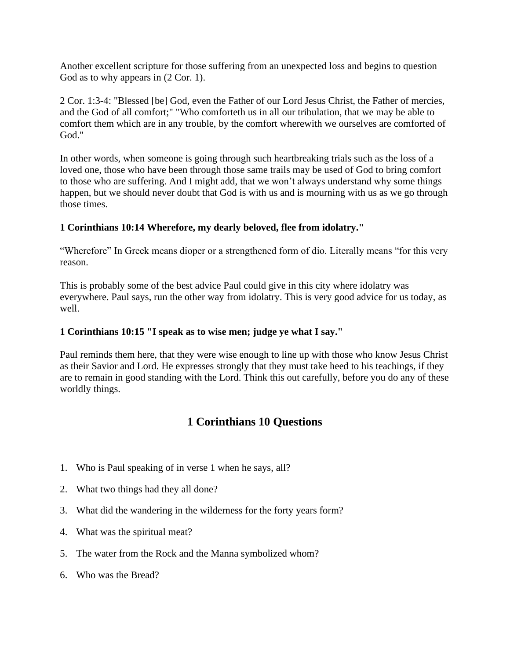Another excellent scripture for those suffering from an unexpected loss and begins to question God as to why appears in  $(2 \text{Cor. } 1)$ .

2 Cor. 1:3-4: "Blessed [be] God, even the Father of our Lord Jesus Christ, the Father of mercies, and the God of all comfort;" "Who comforteth us in all our tribulation, that we may be able to comfort them which are in any trouble, by the comfort wherewith we ourselves are comforted of God."

In other words, when someone is going through such heartbreaking trials such as the loss of a loved one, those who have been through those same trails may be used of God to bring comfort to those who are suffering. And I might add, that we won't always understand why some things happen, but we should never doubt that God is with us and is mourning with us as we go through those times.

## **1 Corinthians 10:14 Wherefore, my dearly beloved, flee from idolatry."**

"Wherefore" In Greek means dioper or a strengthened form of dio. Literally means "for this very reason.

This is probably some of the best advice Paul could give in this city where idolatry was everywhere. Paul says, run the other way from idolatry. This is very good advice for us today, as well.

## **1 Corinthians 10:15 "I speak as to wise men; judge ye what I say."**

Paul reminds them here, that they were wise enough to line up with those who know Jesus Christ as their Savior and Lord. He expresses strongly that they must take heed to his teachings, if they are to remain in good standing with the Lord. Think this out carefully, before you do any of these worldly things.

## **1 Corinthians 10 Questions**

- 1. Who is Paul speaking of in verse 1 when he says, all?
- 2. What two things had they all done?
- 3. What did the wandering in the wilderness for the forty years form?
- 4. What was the spiritual meat?
- 5. The water from the Rock and the Manna symbolized whom?
- 6. Who was the Bread?